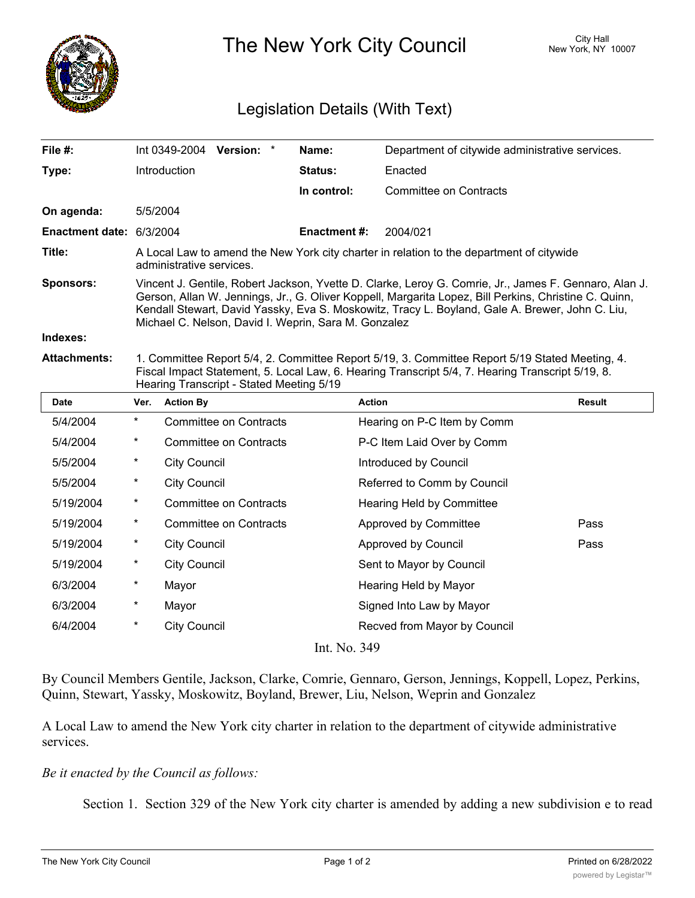

The New York City Council New York, NY 10007

## Legislation Details (With Text)

| File #:                  |                                                                                                                                                                                                                                                                                                                                                                           |                     | Int 0349-2004 Version: *      |  | Name:              | Department of citywide administrative services. |        |
|--------------------------|---------------------------------------------------------------------------------------------------------------------------------------------------------------------------------------------------------------------------------------------------------------------------------------------------------------------------------------------------------------------------|---------------------|-------------------------------|--|--------------------|-------------------------------------------------|--------|
| Type:                    |                                                                                                                                                                                                                                                                                                                                                                           | Introduction        |                               |  | <b>Status:</b>     | Enacted                                         |        |
|                          |                                                                                                                                                                                                                                                                                                                                                                           |                     |                               |  | In control:        | <b>Committee on Contracts</b>                   |        |
| On agenda:               | 5/5/2004                                                                                                                                                                                                                                                                                                                                                                  |                     |                               |  |                    |                                                 |        |
| Enactment date: 6/3/2004 |                                                                                                                                                                                                                                                                                                                                                                           |                     |                               |  | <b>Enactment#:</b> | 2004/021                                        |        |
| Title:                   | A Local Law to amend the New York city charter in relation to the department of citywide<br>administrative services.                                                                                                                                                                                                                                                      |                     |                               |  |                    |                                                 |        |
| Sponsors:                | Vincent J. Gentile, Robert Jackson, Yvette D. Clarke, Leroy G. Comrie, Jr., James F. Gennaro, Alan J.<br>Gerson, Allan W. Jennings, Jr., G. Oliver Koppell, Margarita Lopez, Bill Perkins, Christine C. Quinn,<br>Kendall Stewart, David Yassky, Eva S. Moskowitz, Tracy L. Boyland, Gale A. Brewer, John C. Liu,<br>Michael C. Nelson, David I. Weprin, Sara M. Gonzalez |                     |                               |  |                    |                                                 |        |
| Indexes:                 |                                                                                                                                                                                                                                                                                                                                                                           |                     |                               |  |                    |                                                 |        |
| <b>Attachments:</b>      | 1. Committee Report 5/4, 2. Committee Report 5/19, 3. Committee Report 5/19 Stated Meeting, 4.<br>Fiscal Impact Statement, 5. Local Law, 6. Hearing Transcript 5/4, 7. Hearing Transcript 5/19, 8.<br>Hearing Transcript - Stated Meeting 5/19                                                                                                                            |                     |                               |  |                    |                                                 |        |
| <b>Date</b>              | Ver.                                                                                                                                                                                                                                                                                                                                                                      | <b>Action By</b>    |                               |  |                    | <b>Action</b>                                   | Result |
| 5/4/2004                 | $\star$                                                                                                                                                                                                                                                                                                                                                                   |                     | <b>Committee on Contracts</b> |  |                    | Hearing on P-C Item by Comm                     |        |
| 5/4/2004                 | $\ast$                                                                                                                                                                                                                                                                                                                                                                    |                     | <b>Committee on Contracts</b> |  |                    | P-C Item Laid Over by Comm                      |        |
| 5/5/2004                 | $\ast$                                                                                                                                                                                                                                                                                                                                                                    | <b>City Council</b> |                               |  |                    | Introduced by Council                           |        |
| 5/5/2004                 | $\ast$                                                                                                                                                                                                                                                                                                                                                                    | <b>City Council</b> |                               |  |                    | Referred to Comm by Council                     |        |
| 5/19/2004                | $\ast$                                                                                                                                                                                                                                                                                                                                                                    |                     | <b>Committee on Contracts</b> |  |                    | Hearing Held by Committee                       |        |
| 5/19/2004                | $^{\star}$                                                                                                                                                                                                                                                                                                                                                                |                     | <b>Committee on Contracts</b> |  |                    | Approved by Committee                           | Pass   |
| 5/19/2004                | $\ast$                                                                                                                                                                                                                                                                                                                                                                    | <b>City Council</b> |                               |  |                    | Approved by Council                             | Pass   |
| 5/19/2004                | $\ast$                                                                                                                                                                                                                                                                                                                                                                    | <b>City Council</b> |                               |  |                    | Sent to Mayor by Council                        |        |
| 6/3/2004                 | $\ast$                                                                                                                                                                                                                                                                                                                                                                    | Mayor               |                               |  |                    | Hearing Held by Mayor                           |        |
| 6/3/2004                 | $^\star$                                                                                                                                                                                                                                                                                                                                                                  | Mayor               |                               |  |                    | Signed Into Law by Mayor                        |        |
| 6/4/2004                 | $\star$                                                                                                                                                                                                                                                                                                                                                                   | <b>City Council</b> |                               |  |                    | Recved from Mayor by Council                    |        |
|                          |                                                                                                                                                                                                                                                                                                                                                                           |                     |                               |  | Int. No. 349       |                                                 |        |

By Council Members Gentile, Jackson, Clarke, Comrie, Gennaro, Gerson, Jennings, Koppell, Lopez, Perkins, Quinn, Stewart, Yassky, Moskowitz, Boyland, Brewer, Liu, Nelson, Weprin and Gonzalez

A Local Law to amend the New York city charter in relation to the department of citywide administrative services.

## *Be it enacted by the Council as follows:*

Section 1. Section 329 of the New York city charter is amended by adding a new subdivision e to read